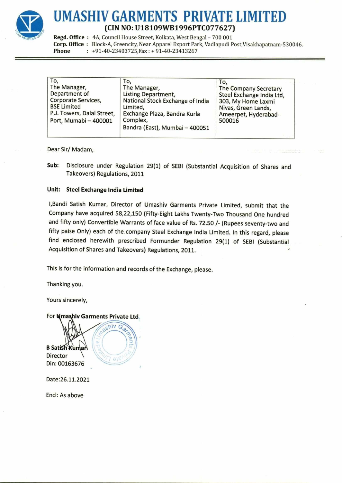

## UMASHIV GARMENTS PRIVATE LIMITED (CIN NO: U18109WB1996PTC077627)  $\begin{array}{ll}\n & \textbf{UMASHIV GARMENT} \\
 \hline\n & \textbf{(CIN NO: U18109W} \\
 \textbf{Regd. Office}: \textbf{ 4A, Council House Street, Kolkal} \\
 \textbf{Core. Office}: \textbf{ Block-A, Greencity, Near Appare} \\
 \textbf{Phone} & \textbf{ 1 + 91 - 40 - 23403725, Fax: + 91 - 40}\n \end{array}$ UMASHIV GARMENT<br>
(CIN NO: U18109W<br>
Regd. Office : 4A, Council House Street, Kolkar<br>
Corp. Office : Block-A, Greencity, Near Appare<br>
Phone : +91-40-23403725, Fax : +91-40 UMASHIV GARMENT<br>
(CIN NO: U18109WI<br>
Regd. Office : 4A, Council House Street, Kolkat<br>
Corp. Office : Block-A, Greencity, Near Appare<br>
Phone : +91-40-23403725, Fax : +91-40

| Regd. Office: 4A, Council House Street, Kolkata, West Bengal - 700 001<br>Corp. Office: Block-A, Greencity, Near Apparel Export Park, Vadlapudi Post, Visakhapatnam-53004<br>Phone<br>$: +91-40-23403725$ , Fax: +91-40-23413267 |                                                                                                                                                                                                                                                                                                                                                                                                                                                                                                                        |                                                                                                                                          |  |  |
|----------------------------------------------------------------------------------------------------------------------------------------------------------------------------------------------------------------------------------|------------------------------------------------------------------------------------------------------------------------------------------------------------------------------------------------------------------------------------------------------------------------------------------------------------------------------------------------------------------------------------------------------------------------------------------------------------------------------------------------------------------------|------------------------------------------------------------------------------------------------------------------------------------------|--|--|
| To,<br>The Manager,<br>Department of<br>Corporate Services,<br><b>BSE Limited</b><br>P.J. Towers, Dalal Street,<br>Port, Mumabi - 400001                                                                                         | To,<br>The Manager,<br><b>Listing Department,</b><br>National Stock Exchange of India<br>Limited,<br>Exchange Plaza, Bandra Kurla<br>Complex,<br>Bandra (East), Mumbai - 400051                                                                                                                                                                                                                                                                                                                                        | To,<br>The Company Secretary<br>Steel Exchange India Ltd,<br>303, My Home Laxmi<br>Nivas, Green Lands,<br>Ameerpet, Hyderabad-<br>500016 |  |  |
| Dear Sir/Madam,                                                                                                                                                                                                                  |                                                                                                                                                                                                                                                                                                                                                                                                                                                                                                                        |                                                                                                                                          |  |  |
| Sub:<br>Takeovers) Regulations, 2011                                                                                                                                                                                             | Disclosure under Regulation 29(1) of SEBI (Substantial Acquisition of Shares and                                                                                                                                                                                                                                                                                                                                                                                                                                       |                                                                                                                                          |  |  |
| Unit:<br><b>Steel Exchange India Limited</b>                                                                                                                                                                                     |                                                                                                                                                                                                                                                                                                                                                                                                                                                                                                                        |                                                                                                                                          |  |  |
|                                                                                                                                                                                                                                  | I, Bandi Satish Kumar, Director of Umashiv Garments Private Limited, submit that the<br>Company have acquired 58,22,150 (Fifty-Eight Lakhs Twenty-Two Thousand One hundred<br>and fifty only) Convertible Warrants of face value of Rs. 72.50 /- (Rupees seventy-two and<br>fifty paise Only) each of the company Steel Exchange India Limited. In this regard, please<br>find enclosed herewith prescribed Formunder Regulation 29(1) of SEBI (Substantial<br>Acquisition of Shares and Takeovers) Regulations, 2011. |                                                                                                                                          |  |  |
|                                                                                                                                                                                                                                  | This is for the information and records of the Exchange, please.                                                                                                                                                                                                                                                                                                                                                                                                                                                       |                                                                                                                                          |  |  |
| Thanking you.                                                                                                                                                                                                                    |                                                                                                                                                                                                                                                                                                                                                                                                                                                                                                                        |                                                                                                                                          |  |  |
| Yours sincerely,                                                                                                                                                                                                                 |                                                                                                                                                                                                                                                                                                                                                                                                                                                                                                                        |                                                                                                                                          |  |  |
| For <b>Nmashiv Garments Private Ltd.</b><br>shiv<br><b>B Satish Kuman</b><br>Director<br>Din: 00163676                                                                                                                           | <b>Ren</b>                                                                                                                                                                                                                                                                                                                                                                                                                                                                                                             |                                                                                                                                          |  |  |
| Date:26.11.2021                                                                                                                                                                                                                  |                                                                                                                                                                                                                                                                                                                                                                                                                                                                                                                        |                                                                                                                                          |  |  |
| Encl: As above                                                                                                                                                                                                                   |                                                                                                                                                                                                                                                                                                                                                                                                                                                                                                                        |                                                                                                                                          |  |  |
|                                                                                                                                                                                                                                  |                                                                                                                                                                                                                                                                                                                                                                                                                                                                                                                        |                                                                                                                                          |  |  |
|                                                                                                                                                                                                                                  |                                                                                                                                                                                                                                                                                                                                                                                                                                                                                                                        |                                                                                                                                          |  |  |
|                                                                                                                                                                                                                                  |                                                                                                                                                                                                                                                                                                                                                                                                                                                                                                                        |                                                                                                                                          |  |  |
|                                                                                                                                                                                                                                  |                                                                                                                                                                                                                                                                                                                                                                                                                                                                                                                        |                                                                                                                                          |  |  |

## Unit: Steel Exchange India Limited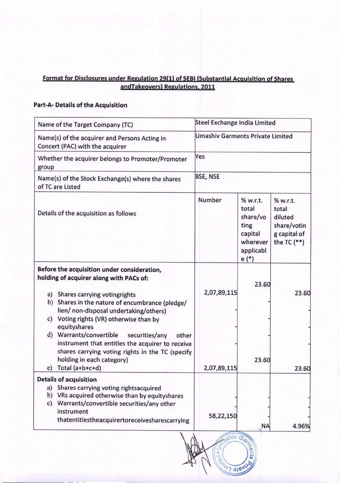# isclosures under Regulation 29(1) of SEBI (Substantial Acquisition andTakeovers) Regulations, 2011 of Sh Format for Disclosures under Regulation 29(1)<br>and Takeovers Regulation<br>Part-A- Details of the Acquisition

## Part-A- Details of the Acquisition

| Format for Disclosures under Regulation 29(1) of SEBI (Substantial Acquisition of Shares                                     |                                         |                                                                                     |                                                                              |
|------------------------------------------------------------------------------------------------------------------------------|-----------------------------------------|-------------------------------------------------------------------------------------|------------------------------------------------------------------------------|
| andTakeovers) Regulations, 2011                                                                                              |                                         |                                                                                     |                                                                              |
| Part-A- Details of the Acquisition                                                                                           |                                         |                                                                                     |                                                                              |
| Name of the Target Company (TC)                                                                                              | Steel Exchange India Limited            |                                                                                     |                                                                              |
| Name(s) of the acquirer and Persons Acting in<br>Concert (PAC) with the acquirer                                             | <b>Umashiv Garments Private Limited</b> |                                                                                     |                                                                              |
| Whether the acquirer belongs to Promoter/Promoter                                                                            | Yes                                     |                                                                                     |                                                                              |
| group                                                                                                                        | <b>BSE, NSE</b>                         |                                                                                     |                                                                              |
| Name(s) of the Stock Exchange(s) where the shares<br>of TC are Listed                                                        |                                         |                                                                                     |                                                                              |
| Details of the acquisition as follows                                                                                        | Number                                  | % w.r.t.<br>total<br>share/vo<br>ting<br>capital<br>wherever<br>applicabl<br>$e(*)$ | % w.r.t.<br>total<br>diluted<br>share/votin<br>g capital of<br>the TC $(**)$ |
| Before the acquisition under consideration,<br>holding of acquirer along with PACs of:                                       |                                         | 23.60                                                                               |                                                                              |
| a) Shares carrying votingrights<br>b) Shares in the nature of encumbrance (pledge/<br>lien/ non-disposal undertaking/others) | 2,07,89,115                             |                                                                                     | 23.60                                                                        |
| c) Voting rights (VR) otherwise than by<br>equityshares                                                                      |                                         |                                                                                     |                                                                              |
| d) Warrants/convertible securities/any<br>other<br>instrument that entitles the acquirer to receive                          |                                         |                                                                                     |                                                                              |
| shares carrying voting rights in the TC (specify                                                                             |                                         |                                                                                     |                                                                              |
| holding in each category)<br>Total (a+b+c+d)<br>e)                                                                           | 2,07,89,115                             | 23.60                                                                               | 23.60                                                                        |
| <b>Details of acquisition</b>                                                                                                |                                         |                                                                                     |                                                                              |
| Shares carrying voting rightsacquired<br>a)<br>VRs acquired otherwise than by equityshares<br>b)                             |                                         |                                                                                     |                                                                              |
| Warrants/convertible securities/any other<br>c)<br>instrument                                                                | 58,22,150                               |                                                                                     |                                                                              |
| thatentitlestheacquirertoreceivesharescarrying                                                                               |                                         | <b>NA</b>                                                                           | 4.96%                                                                        |

ghiv

Mate Link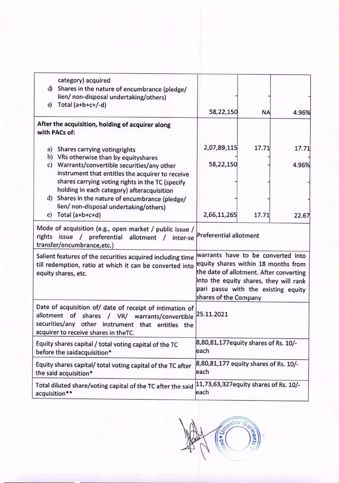| e)                                                                                                                                                                                                         | category) acquired<br>d) Shares in the nature of encumbrance (pledge/<br>lien/ non-disposal undertaking/others)<br>Total $(a+b+c+/-d)$            | 58,22,150                                                                                                                                                                                                                      | <b>NA</b> |       |  |
|------------------------------------------------------------------------------------------------------------------------------------------------------------------------------------------------------------|---------------------------------------------------------------------------------------------------------------------------------------------------|--------------------------------------------------------------------------------------------------------------------------------------------------------------------------------------------------------------------------------|-----------|-------|--|
|                                                                                                                                                                                                            | After the acquisition, holding of acquirer along<br>with PACs of:                                                                                 |                                                                                                                                                                                                                                |           | 4.96% |  |
| a)                                                                                                                                                                                                         | Shares carrying votingrights<br>b) VRs otherwise than by equityshares                                                                             | 2,07,89,115                                                                                                                                                                                                                    | 17.71     | 17.71 |  |
|                                                                                                                                                                                                            | c) Warrants/convertible securities/any other<br>instrument that entitles the acquirer to receive                                                  | 58,22,150                                                                                                                                                                                                                      |           | 4.96% |  |
|                                                                                                                                                                                                            | shares carrying voting rights in the TC (specify<br>holding in each category) afteracquisition<br>d) Shares in the nature of encumbrance (pledge/ |                                                                                                                                                                                                                                |           |       |  |
|                                                                                                                                                                                                            | lien/ non-disposal undertaking/others)<br>$e)$ Total (a+b+c+d)                                                                                    | 2,66,11,265                                                                                                                                                                                                                    | 17.71     | 22.67 |  |
|                                                                                                                                                                                                            | Mode of acquisition (e.g., open market / public issue /<br>rights issue / preferential allotment<br>inter-se<br>transfer/encumbrance, etc.)       | <b>Preferential allotment</b>                                                                                                                                                                                                  |           |       |  |
| Salient features of the securities acquired including time<br>till redemption, ratio at which it can be converted into<br>equity shares, etc.                                                              |                                                                                                                                                   | warrants have to be converted into<br>equity shares within 18 months from<br>the date of allotment. After converting<br>into the equity shares, they will rank<br>pari passu with the existing equity<br>shares of the Company |           |       |  |
| Date of acquisition of/ date of receipt of intimation of<br>allotment of shares / VR/ warrants/convertible<br>securities/any<br>other instrument that entitles the<br>acquirer to receive shares in theTC. |                                                                                                                                                   | 25.11.2021                                                                                                                                                                                                                     |           |       |  |
| Equity shares capital / total voting capital of the TC<br>before the saidacquisition*                                                                                                                      |                                                                                                                                                   | 8,80,81,177 equity shares of Rs. 10/-<br>each                                                                                                                                                                                  |           |       |  |
| Equity shares capital/ total voting capital of the TC after<br>the said acquisition*                                                                                                                       |                                                                                                                                                   | 8,80,81,177 equity shares of Rs. 10/-<br>each                                                                                                                                                                                  |           |       |  |
| Total diluted share/voting capital of the TC after the said<br>acquisition**                                                                                                                               |                                                                                                                                                   | 11,73,63,327 equity shares of Rs. 10/-<br>each                                                                                                                                                                                 |           |       |  |

House of Steamiv Gaza